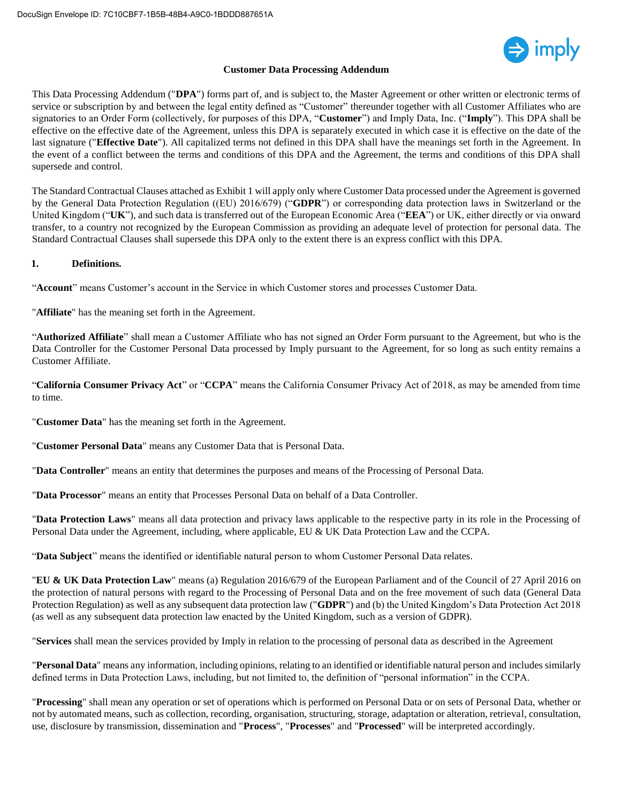

# **Customer Data Processing Addendum**

This Data Processing Addendum ("**DPA**") forms part of, and is subject to, the Master Agreement or other written or electronic terms of service or subscription by and between the legal entity defined as "Customer" thereunder together with all Customer Affiliates who are signatories to an Order Form (collectively, for purposes of this DPA, "**Customer**") and Imply Data, Inc. ("**Imply**"). This DPA shall be effective on the effective date of the Agreement, unless this DPA is separately executed in which case it is effective on the date of the last signature ("**Effective Date**"). All capitalized terms not defined in this DPA shall have the meanings set forth in the Agreement. In the event of a conflict between the terms and conditions of this DPA and the Agreement, the terms and conditions of this DPA shall supersede and control.

The Standard Contractual Clauses attached as Exhibit 1 will apply only where Customer Data processed under the Agreement is governed by the General Data Protection Regulation ((EU) 2016/679) ("**GDPR**") or corresponding data protection laws in Switzerland or the United Kingdom ("**UK**"), and such data is transferred out of the European Economic Area ("**EEA**") or UK, either directly or via onward transfer, to a country not recognized by the European Commission as providing an adequate level of protection for personal data. The Standard Contractual Clauses shall supersede this DPA only to the extent there is an express conflict with this DPA.

# **1. Definitions.**

"**Account**" means Customer's account in the Service in which Customer stores and processes Customer Data.

"**Affiliate**" has the meaning set forth in the Agreement.

"**Authorized Affiliate**" shall mean a Customer Affiliate who has not signed an Order Form pursuant to the Agreement, but who is the Data Controller for the Customer Personal Data processed by Imply pursuant to the Agreement, for so long as such entity remains a Customer Affiliate.

"**California Consumer Privacy Act**" or "**CCPA**" means the California Consumer Privacy Act of 2018, as may be amended from time to time.

"**Customer Data**" has the meaning set forth in the Agreement.

"**Customer Personal Data**" means any Customer Data that is Personal Data.

"**Data Controller**" means an entity that determines the purposes and means of the Processing of Personal Data.

"**Data Processor**" means an entity that Processes Personal Data on behalf of a Data Controller.

"**Data Protection Laws**" means all data protection and privacy laws applicable to the respective party in its role in the Processing of Personal Data under the Agreement, including, where applicable, EU & UK Data Protection Law and the CCPA.

"**Data Subject**" means the identified or identifiable natural person to whom Customer Personal Data relates.

"**EU & UK Data Protection Law**" means (a) Regulation 2016/679 of the European Parliament and of the Council of 27 April 2016 on the protection of natural persons with regard to the Processing of Personal Data and on the free movement of such data (General Data Protection Regulation) as well as any subsequent data protection law ("**GDPR**") and (b) the United Kingdom's Data Protection Act 2018 (as well as any subsequent data protection law enacted by the United Kingdom, such as a version of GDPR).

"**Services** shall mean the services provided by Imply in relation to the processing of personal data as described in the Agreement

"**Personal Data**" means any information, including opinions, relating to an identified or identifiable natural person and includes similarly defined terms in Data Protection Laws, including, but not limited to, the definition of "personal information" in the CCPA.

"**Processing**" shall mean any operation or set of operations which is performed on Personal Data or on sets of Personal Data, whether or not by automated means, such as collection, recording, organisation, structuring, storage, adaptation or alteration, retrieval, consultation, use, disclosure by transmission, dissemination and "**Process**", "**Processes**" and "**Processed**" will be interpreted accordingly.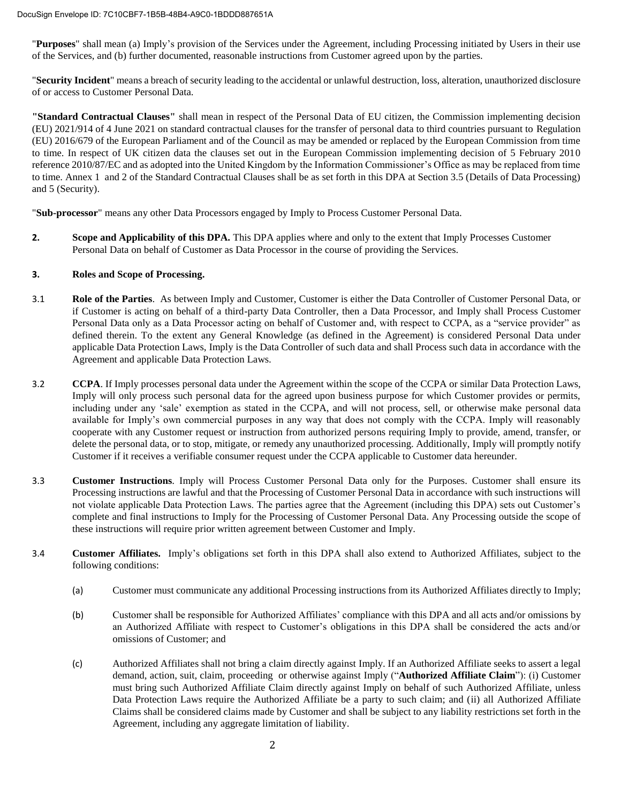"**Purposes**" shall mean (a) Imply's provision of the Services under the Agreement, including Processing initiated by Users in their use of the Services, and (b) further documented, reasonable instructions from Customer agreed upon by the parties.

"**Security Incident**" means a breach of security leading to the accidental or unlawful destruction, loss, alteration, unauthorized disclosure of or access to Customer Personal Data.

**"Standard Contractual Clauses"** shall mean in respect of the Personal Data of EU citizen, the Commission implementing decision (EU) 2021/914 of 4 June 2021 on standard contractual clauses for the transfer of personal data to third countries pursuant to Regulation (EU) 2016/679 of the European Parliament and of the Council as may be amended or replaced by the European Commission from time to time. In respect of UK citizen data the clauses set out in the European Commission implementing decision of 5 February 2010 reference 2010/87/EC and as adopted into the United Kingdom by the Information Commissioner's Office as may be replaced from time to time. Annex 1 and 2 of the Standard Contractual Clauses shall be as set forth in this DPA at Section 3.5 (Details of Data Processing) and 5 (Security).

"**Sub-processor**" means any other Data Processors engaged by Imply to Process Customer Personal Data.

**2. Scope and Applicability of this DPA.** This DPA applies where and only to the extent that Imply Processes Customer Personal Data on behalf of Customer as Data Processor in the course of providing the Services.

#### **3. Roles and Scope of Processing.**

- 3.1 **Role of the Parties**. As between Imply and Customer, Customer is either the Data Controller of Customer Personal Data, or if Customer is acting on behalf of a third-party Data Controller, then a Data Processor, and Imply shall Process Customer Personal Data only as a Data Processor acting on behalf of Customer and, with respect to CCPA, as a "service provider" as defined therein. To the extent any General Knowledge (as defined in the Agreement) is considered Personal Data under applicable Data Protection Laws, Imply is the Data Controller of such data and shall Process such data in accordance with the Agreement and applicable Data Protection Laws.
- 3.2 **CCPA**. If Imply processes personal data under the Agreement within the scope of the CCPA or similar Data Protection Laws, Imply will only process such personal data for the agreed upon business purpose for which Customer provides or permits, including under any 'sale' exemption as stated in the CCPA, and will not process, sell, or otherwise make personal data available for Imply's own commercial purposes in any way that does not comply with the CCPA. Imply will reasonably cooperate with any Customer request or instruction from authorized persons requiring Imply to provide, amend, transfer, or delete the personal data, or to stop, mitigate, or remedy any unauthorized processing. Additionally, Imply will promptly notify Customer if it receives a verifiable consumer request under the CCPA applicable to Customer data hereunder.
- 3.3 **Customer Instructions**. Imply will Process Customer Personal Data only for the Purposes. Customer shall ensure its Processing instructions are lawful and that the Processing of Customer Personal Data in accordance with such instructions will not violate applicable Data Protection Laws. The parties agree that the Agreement (including this DPA) sets out Customer's complete and final instructions to Imply for the Processing of Customer Personal Data. Any Processing outside the scope of these instructions will require prior written agreement between Customer and Imply.
- 3.4 **Customer Affiliates.** Imply's obligations set forth in this DPA shall also extend to Authorized Affiliates, subject to the following conditions:
	- (a) Customer must communicate any additional Processing instructions from its Authorized Affiliates directly to Imply;
	- (b) Customer shall be responsible for Authorized Affiliates' compliance with this DPA and all acts and/or omissions by an Authorized Affiliate with respect to Customer's obligations in this DPA shall be considered the acts and/or omissions of Customer; and
	- (c) Authorized Affiliates shall not bring a claim directly against Imply. If an Authorized Affiliate seeks to assert a legal demand, action, suit, claim, proceeding or otherwise against Imply ("**Authorized Affiliate Claim**"): (i) Customer must bring such Authorized Affiliate Claim directly against Imply on behalf of such Authorized Affiliate, unless Data Protection Laws require the Authorized Affiliate be a party to such claim; and (ii) all Authorized Affiliate Claims shall be considered claims made by Customer and shall be subject to any liability restrictions set forth in the Agreement, including any aggregate limitation of liability.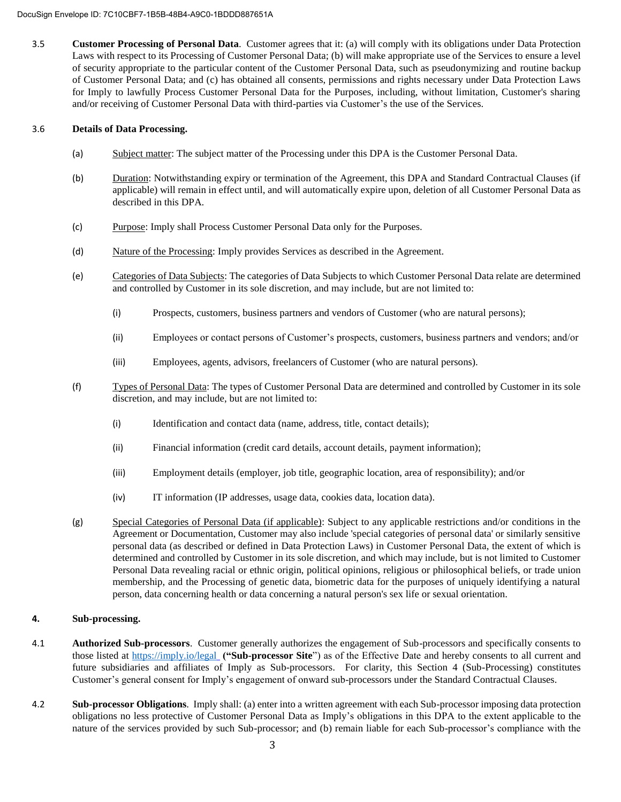3.5 **Customer Processing of Personal Data**. Customer agrees that it: (a) will comply with its obligations under Data Protection Laws with respect to its Processing of Customer Personal Data; (b) will make appropriate use of the Services to ensure a level of security appropriate to the particular content of the Customer Personal Data, such as pseudonymizing and routine backup of Customer Personal Data; and (c) has obtained all consents, permissions and rights necessary under Data Protection Laws for Imply to lawfully Process Customer Personal Data for the Purposes, including, without limitation, Customer's sharing and/or receiving of Customer Personal Data with third-parties via Customer's the use of the Services.

# 3.6 **Details of Data Processing.**

- (a) Subject matter: The subject matter of the Processing under this DPA is the Customer Personal Data.
- (b) Duration: Notwithstanding expiry or termination of the Agreement, this DPA and Standard Contractual Clauses (if applicable) will remain in effect until, and will automatically expire upon, deletion of all Customer Personal Data as described in this DPA.
- (c) Purpose: Imply shall Process Customer Personal Data only for the Purposes.
- (d) Nature of the Processing: Imply provides Services as described in the Agreement.
- (e) Categories of Data Subjects: The categories of Data Subjects to which Customer Personal Data relate are determined and controlled by Customer in its sole discretion, and may include, but are not limited to:
	- (i) Prospects, customers, business partners and vendors of Customer (who are natural persons);
	- (ii) Employees or contact persons of Customer's prospects, customers, business partners and vendors; and/or
	- (iii) Employees, agents, advisors, freelancers of Customer (who are natural persons).
- (f) Types of Personal Data: The types of Customer Personal Data are determined and controlled by Customer in its sole discretion, and may include, but are not limited to:
	- (i) Identification and contact data (name, address, title, contact details);
	- (ii) Financial information (credit card details, account details, payment information);
	- (iii) Employment details (employer, job title, geographic location, area of responsibility); and/or
	- (iv) IT information (IP addresses, usage data, cookies data, location data).
- (g) Special Categories of Personal Data (if applicable): Subject to any applicable restrictions and/or conditions in the Agreement or Documentation, Customer may also include 'special categories of personal data' or similarly sensitive personal data (as described or defined in Data Protection Laws) in Customer Personal Data, the extent of which is determined and controlled by Customer in its sole discretion, and which may include, but is not limited to Customer Personal Data revealing racial or ethnic origin, political opinions, religious or philosophical beliefs, or trade union membership, and the Processing of genetic data, biometric data for the purposes of uniquely identifying a natural person, data concerning health or data concerning a natural person's sex life or sexual orientation.

# **4. Sub-processing.**

- 4.1 **Authorized Sub-processors**. Customer generally authorizes the engagement of Sub-processors and specifically consents to those listed at https://imply.io/legal **("Sub-processor Site**") as of the Effective Date and hereby consents to all current and future subsidiaries and affiliates of Imply as Sub-processors. For clarity, this Section 4 (Sub-Processing) constitutes Customer's general consent for Imply's engagement of onward sub-processors under the Standard Contractual Clauses.
- 4.2 **Sub-processor Obligations**. Imply shall: (a) enter into a written agreement with each Sub-processor imposing data protection obligations no less protective of Customer Personal Data as Imply's obligations in this DPA to the extent applicable to the nature of the services provided by such Sub-processor; and (b) remain liable for each Sub-processor's compliance with the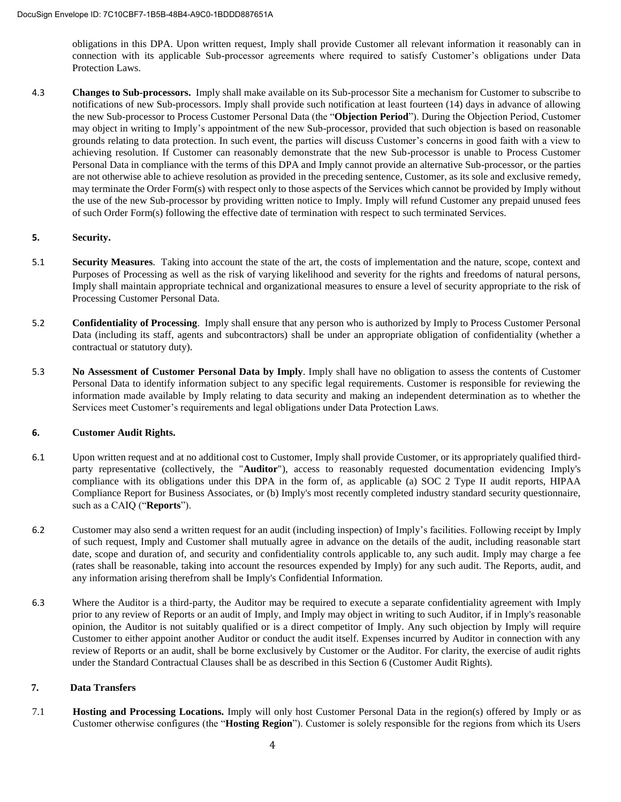obligations in this DPA. Upon written request, Imply shall provide Customer all relevant information it reasonably can in connection with its applicable Sub-processor agreements where required to satisfy Customer's obligations under Data Protection Laws.

4.3 **Changes to Sub-processors.** Imply shall make available on its Sub-processor Site a mechanism for Customer to subscribe to notifications of new Sub-processors. Imply shall provide such notification at least fourteen (14) days in advance of allowing the new Sub-processor to Process Customer Personal Data (the "**Objection Period**"). During the Objection Period, Customer may object in writing to Imply's appointment of the new Sub-processor, provided that such objection is based on reasonable grounds relating to data protection. In such event, the parties will discuss Customer's concerns in good faith with a view to achieving resolution. If Customer can reasonably demonstrate that the new Sub-processor is unable to Process Customer Personal Data in compliance with the terms of this DPA and Imply cannot provide an alternative Sub-processor, or the parties are not otherwise able to achieve resolution as provided in the preceding sentence, Customer, as its sole and exclusive remedy, may terminate the Order Form(s) with respect only to those aspects of the Services which cannot be provided by Imply without the use of the new Sub-processor by providing written notice to Imply. Imply will refund Customer any prepaid unused fees of such Order Form(s) following the effective date of termination with respect to such terminated Services.

# **5. Security.**

- 5.1 **Security Measures**. Taking into account the state of the art, the costs of implementation and the nature, scope, context and Purposes of Processing as well as the risk of varying likelihood and severity for the rights and freedoms of natural persons, Imply shall maintain appropriate technical and organizational measures to ensure a level of security appropriate to the risk of Processing Customer Personal Data.
- 5.2 **Confidentiality of Processing**. Imply shall ensure that any person who is authorized by Imply to Process Customer Personal Data (including its staff, agents and subcontractors) shall be under an appropriate obligation of confidentiality (whether a contractual or statutory duty).
- 5.3 **No Assessment of Customer Personal Data by Imply**. Imply shall have no obligation to assess the contents of Customer Personal Data to identify information subject to any specific legal requirements. Customer is responsible for reviewing the information made available by Imply relating to data security and making an independent determination as to whether the Services meet Customer's requirements and legal obligations under Data Protection Laws.

# **6. Customer Audit Rights.**

- 6.1 Upon written request and at no additional cost to Customer, Imply shall provide Customer, or its appropriately qualified thirdparty representative (collectively, the "**Auditor**"), access to reasonably requested documentation evidencing Imply's compliance with its obligations under this DPA in the form of, as applicable (a) SOC 2 Type II audit reports, HIPAA Compliance Report for Business Associates, or (b) Imply's most recently completed industry standard security questionnaire, such as a CAIQ ("**Reports**").
- 6.2 Customer may also send a written request for an audit (including inspection) of Imply's facilities. Following receipt by Imply of such request, Imply and Customer shall mutually agree in advance on the details of the audit, including reasonable start date, scope and duration of, and security and confidentiality controls applicable to, any such audit. Imply may charge a fee (rates shall be reasonable, taking into account the resources expended by Imply) for any such audit. The Reports, audit, and any information arising therefrom shall be Imply's Confidential Information.
- 6.3 Where the Auditor is a third-party, the Auditor may be required to execute a separate confidentiality agreement with Imply prior to any review of Reports or an audit of Imply, and Imply may object in writing to such Auditor, if in Imply's reasonable opinion, the Auditor is not suitably qualified or is a direct competitor of Imply. Any such objection by Imply will require Customer to either appoint another Auditor or conduct the audit itself. Expenses incurred by Auditor in connection with any review of Reports or an audit, shall be borne exclusively by Customer or the Auditor. For clarity, the exercise of audit rights under the Standard Contractual Clauses shall be as described in this Section 6 (Customer Audit Rights).

## **7. Data Transfers**

7.1 **Hosting and Processing Locations.** Imply will only host Customer Personal Data in the region(s) offered by Imply or as Customer otherwise configures (the "**Hosting Region**"). Customer is solely responsible for the regions from which its Users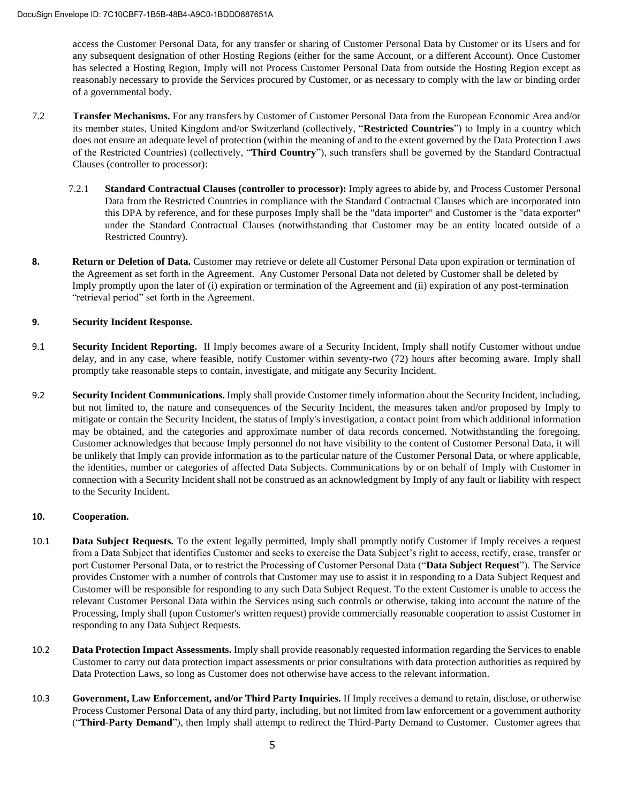access the Customer Personal Data, for any transfer or sharing of Customer Personal Data by Customer or its Users and for any subsequent designation of other Hosting Regions (either for the same Account, or a different Account). Once Customer has selected a Hosting Region, Imply will not Process Customer Personal Data from outside the Hosting Region except as reasonably necessary to provide the Services procured by Customer, or as necessary to comply with the law or binding order of a governmental body.

- 7.2 **Transfer Mechanisms.** For any transfers by Customer of Customer Personal Data from the European Economic Area and/or its member states, United Kingdom and/or Switzerland (collectively, "**Restricted Countries**") to Imply in a country which does not ensure an adequate level of protection (within the meaning of and to the extent governed by the Data Protection Laws of the Restricted Countries) (collectively, "**Third Country**"), such transfers shall be governed by the Standard Contractual Clauses (controller to processor):
	- 7.2.1 **Standard Contractual Clauses (controller to processor):** Imply agrees to abide by, and Process Customer Personal Data from the Restricted Countries in compliance with the Standard Contractual Clauses which are incorporated into this DPA by reference, and for these purposes Imply shall be the "data importer" and Customer is the "data exporter" under the Standard Contractual Clauses (notwithstanding that Customer may be an entity located outside of a Restricted Country).
- **8. Return or Deletion of Data.** Customer may retrieve or delete all Customer Personal Data upon expiration or termination of the Agreement as set forth in the Agreement. Any Customer Personal Data not deleted by Customer shall be deleted by Imply promptly upon the later of (i) expiration or termination of the Agreement and (ii) expiration of any post-termination "retrieval period" set forth in the Agreement.

# **9. Security Incident Response.**

- 9.1 **Security Incident Reporting.** If Imply becomes aware of a Security Incident, Imply shall notify Customer without undue delay, and in any case, where feasible, notify Customer within seventy-two (72) hours after becoming aware. Imply shall promptly take reasonable steps to contain, investigate, and mitigate any Security Incident.
- 9.2 **Security Incident Communications.** Imply shall provide Customer timely information about the Security Incident, including, but not limited to, the nature and consequences of the Security Incident, the measures taken and/or proposed by Imply to mitigate or contain the Security Incident, the status of Imply's investigation, a contact point from which additional information may be obtained, and the categories and approximate number of data records concerned. Notwithstanding the foregoing, Customer acknowledges that because Imply personnel do not have visibility to the content of Customer Personal Data, it will be unlikely that Imply can provide information as to the particular nature of the Customer Personal Data, or where applicable, the identities, number or categories of affected Data Subjects. Communications by or on behalf of Imply with Customer in connection with a Security Incident shall not be construed as an acknowledgment by Imply of any fault or liability with respect to the Security Incident.

# **10. Cooperation.**

- 10.1 **Data Subject Requests.** To the extent legally permitted, Imply shall promptly notify Customer if Imply receives a request from a Data Subject that identifies Customer and seeks to exercise the Data Subject's right to access, rectify, erase, transfer or port Customer Personal Data, or to restrict the Processing of Customer Personal Data ("**Data Subject Request**"). The Service provides Customer with a number of controls that Customer may use to assist it in responding to a Data Subject Request and Customer will be responsible for responding to any such Data Subject Request. To the extent Customer is unable to access the relevant Customer Personal Data within the Services using such controls or otherwise, taking into account the nature of the Processing, Imply shall (upon Customer's written request) provide commercially reasonable cooperation to assist Customer in responding to any Data Subject Requests.
- 10.2 **Data Protection Impact Assessments.** Imply shall provide reasonably requested information regarding the Services to enable Customer to carry out data protection impact assessments or prior consultations with data protection authorities as required by Data Protection Laws, so long as Customer does not otherwise have access to the relevant information.
- 10.3 **Government, Law Enforcement, and/or Third Party Inquiries.** If Imply receives a demand to retain, disclose, or otherwise Process Customer Personal Data of any third party, including, but not limited from law enforcement or a government authority ("**Third-Party Demand**"), then Imply shall attempt to redirect the Third-Party Demand to Customer. Customer agrees that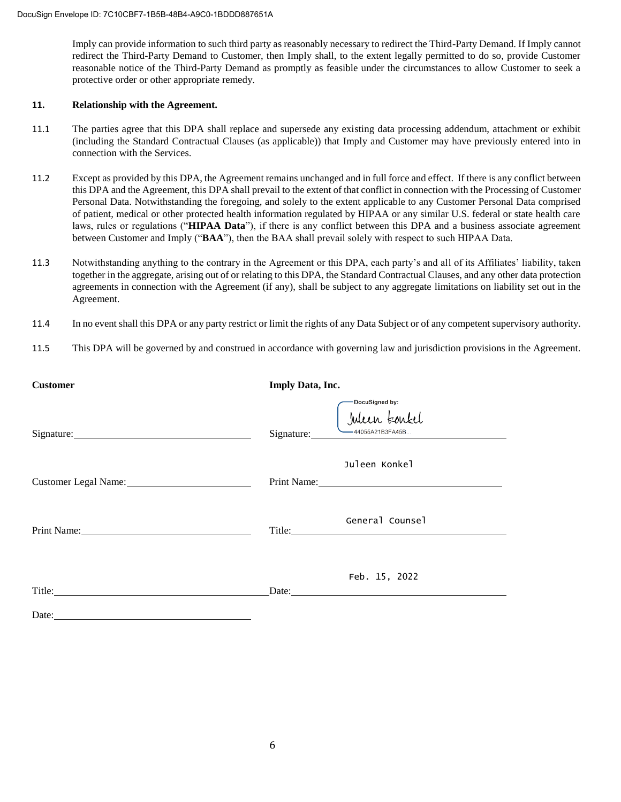Imply can provide information to such third party as reasonably necessary to redirect the Third-Party Demand. If Imply cannot redirect the Third-Party Demand to Customer, then Imply shall, to the extent legally permitted to do so, provide Customer reasonable notice of the Third-Party Demand as promptly as feasible under the circumstances to allow Customer to seek a protective order or other appropriate remedy.

## **11. Relationship with the Agreement.**

- 11.1 The parties agree that this DPA shall replace and supersede any existing data processing addendum, attachment or exhibit (including the Standard Contractual Clauses (as applicable)) that Imply and Customer may have previously entered into in connection with the Services.
- 11.2 Except as provided by this DPA, the Agreement remains unchanged and in full force and effect. If there is any conflict between this DPA and the Agreement, this DPA shall prevail to the extent of that conflict in connection with the Processing of Customer Personal Data. Notwithstanding the foregoing, and solely to the extent applicable to any Customer Personal Data comprised of patient, medical or other protected health information regulated by HIPAA or any similar U.S. federal or state health care laws, rules or regulations ("**HIPAA Data**"), if there is any conflict between this DPA and a business associate agreement between Customer and Imply ("**BAA**"), then the BAA shall prevail solely with respect to such HIPAA Data.
- 11.3 Notwithstanding anything to the contrary in the Agreement or this DPA, each party's and all of its Affiliates' liability, taken together in the aggregate, arising out of or relating to this DPA, the Standard Contractual Clauses, and any other data protection agreements in connection with the Agreement (if any), shall be subject to any aggregate limitations on liability set out in the Agreement.
- 11.4 In no event shall this DPA or any party restrict or limit the rights of any Data Subject or of any competent supervisory authority.
- 11.5 This DPA will be governed by and construed in accordance with governing law and jurisdiction provisions in the Agreement.

| <b>Customer</b>                                                                                                                                                                                                                | <b>Imply Data, Inc.</b>                                 |
|--------------------------------------------------------------------------------------------------------------------------------------------------------------------------------------------------------------------------------|---------------------------------------------------------|
| Signature: New York School and School and School and School and School and School and School and School and School and School and School and School and School and School and School and School and School and School and Scho | Bocusigned by:<br>Signature: Unicom & Estate Signature: |
| Customer Legal Name: 1988                                                                                                                                                                                                      | Juleen Konkel<br>Print Name: 1988                       |
| Print Name: 1988                                                                                                                                                                                                               | General Counsel                                         |
|                                                                                                                                                                                                                                | Feb. 15, 2022<br>Date: 2008. [19] Date:                 |
| Date:                                                                                                                                                                                                                          |                                                         |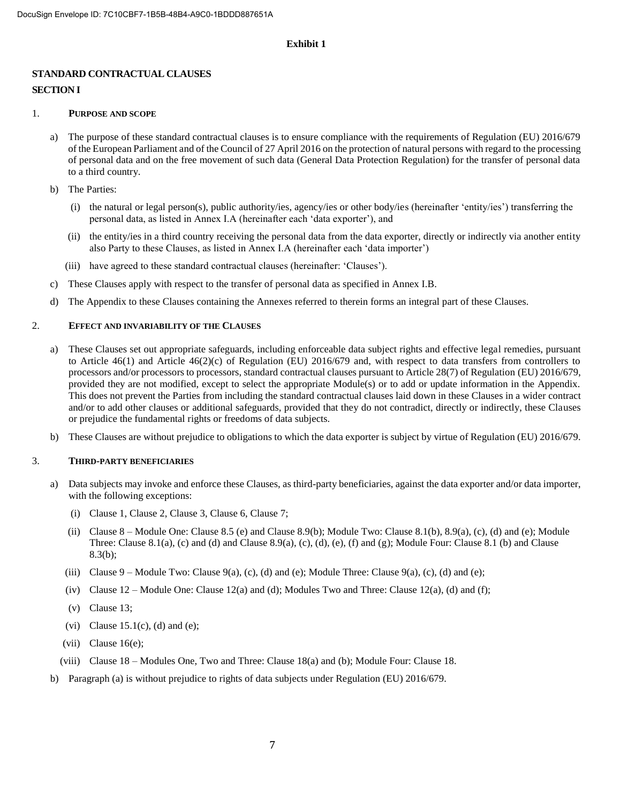## **Exhibit 1**

# **STANDARD CONTRACTUAL CLAUSES**

# **SECTION I**

### 1. **PURPOSE AND SCOPE**

- a) The purpose of these standard contractual clauses is to ensure compliance with the requirements of Regulation (EU) 2016/679 of the European Parliament and of the Council of 27 April 2016 on the protection of natural persons with regard to the processing of personal data and on the free movement of such data (General Data Protection Regulation) for the transfer of personal data to a third country.
- b) The Parties:
	- (i) the natural or legal person(s), public authority/ies, agency/ies or other body/ies (hereinafter 'entity/ies') transferring the personal data, as listed in Annex I.A (hereinafter each 'data exporter'), and
	- (ii) the entity/ies in a third country receiving the personal data from the data exporter, directly or indirectly via another entity also Party to these Clauses, as listed in Annex I.A (hereinafter each 'data importer')
	- (iii) have agreed to these standard contractual clauses (hereinafter: 'Clauses').
- c) These Clauses apply with respect to the transfer of personal data as specified in Annex I.B.
- d) The Appendix to these Clauses containing the Annexes referred to therein forms an integral part of these Clauses.

### 2. **EFFECT AND INVARIABILITY OF THE CLAUSES**

- a) These Clauses set out appropriate safeguards, including enforceable data subject rights and effective legal remedies, pursuant to Article 46(1) and Article 46(2)(c) of Regulation (EU) 2016/679 and, with respect to data transfers from controllers to processors and/or processors to processors, standard contractual clauses pursuant to Article 28(7) of Regulation (EU) 2016/679, provided they are not modified, except to select the appropriate Module(s) or to add or update information in the Appendix. This does not prevent the Parties from including the standard contractual clauses laid down in these Clauses in a wider contract and/or to add other clauses or additional safeguards, provided that they do not contradict, directly or indirectly, these Clauses or prejudice the fundamental rights or freedoms of data subjects.
- b) These Clauses are without prejudice to obligations to which the data exporter is subject by virtue of Regulation (EU) 2016/679.

# 3. **THIRD-PARTY BENEFICIARIES**

- a) Data subjects may invoke and enforce these Clauses, as third-party beneficiaries, against the data exporter and/or data importer, with the following exceptions:
	- (i) Clause 1, Clause 2, Clause 3, Clause 6, Clause 7;
	- (ii) Clause  $8 -$  Module One: Clause  $8.5$  (e) and Clause  $8.9(b)$ ; Module Two: Clause  $8.1(b)$ ,  $8.9(a)$ , (c), (d) and (e); Module Three: Clause  $8.1(a)$ , (c) and (d) and Clause  $8.9(a)$ , (c), (d), (e), (f) and (g); Module Four: Clause  $8.1$  (b) and Clause 8.3(b);
	- (iii) Clause  $9 -$  Module Two: Clause  $9(a)$ , (c), (d) and (e); Module Three: Clause  $9(a)$ , (c), (d) and (e);
	- (iv) Clause  $12 -$  Module One: Clause  $12(a)$  and (d); Modules Two and Three: Clause  $12(a)$ , (d) and (f);
	- (v) Clause 13;
	- (vi) Clause  $15.1(c)$ , (d) and (e);
	- (vii) Clause  $16(e)$ ;
	- (viii) Clause 18 Modules One, Two and Three: Clause 18(a) and (b); Module Four: Clause 18.
- b) Paragraph (a) is without prejudice to rights of data subjects under Regulation (EU) 2016/679.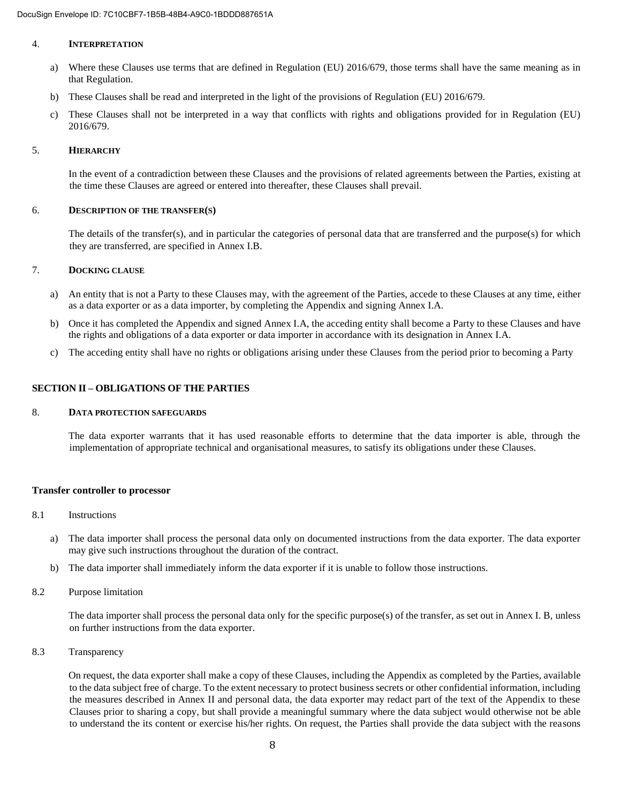### 4. **INTERPRETATION**

- a) Where these Clauses use terms that are defined in Regulation (EU) 2016/679, those terms shall have the same meaning as in that Regulation.
- b) These Clauses shall be read and interpreted in the light of the provisions of Regulation (EU) 2016/679.
- c) These Clauses shall not be interpreted in a way that conflicts with rights and obligations provided for in Regulation (EU) 2016/679.

### 5. **HIERARCHY**

In the event of a contradiction between these Clauses and the provisions of related agreements between the Parties, existing at the time these Clauses are agreed or entered into thereafter, these Clauses shall prevail.

### 6. **DESCRIPTION OF THE TRANSFER(S)**

The details of the transfer(s), and in particular the categories of personal data that are transferred and the purpose(s) for which they are transferred, are specified in Annex I.B.

## 7. **DOCKING CLAUSE**

- a) An entity that is not a Party to these Clauses may, with the agreement of the Parties, accede to these Clauses at any time, either as a data exporter or as a data importer, by completing the Appendix and signing Annex I.A.
- b) Once it has completed the Appendix and signed Annex I.A, the acceding entity shall become a Party to these Clauses and have the rights and obligations of a data exporter or data importer in accordance with its designation in Annex I.A.
- c) The acceding entity shall have no rights or obligations arising under these Clauses from the period prior to becoming a Party

### **SECTION II – OBLIGATIONS OF THE PARTIES**

#### 8. **DATA PROTECTION SAFEGUARDS**

The data exporter warrants that it has used reasonable efforts to determine that the data importer is able, through the implementation of appropriate technical and organisational measures, to satisfy its obligations under these Clauses.

#### **Transfer controller to processor**

- 8.1 Instructions
	- a) The data importer shall process the personal data only on documented instructions from the data exporter. The data exporter may give such instructions throughout the duration of the contract.
	- b) The data importer shall immediately inform the data exporter if it is unable to follow those instructions.
- 8.2 Purpose limitation

The data importer shall process the personal data only for the specific purpose(s) of the transfer, as set out in Annex I. B, unless on further instructions from the data exporter.

8.3 Transparency

On request, the data exporter shall make a copy of these Clauses, including the Appendix as completed by the Parties, available to the data subject free of charge. To the extent necessary to protect business secrets or other confidential information, including the measures described in Annex II and personal data, the data exporter may redact part of the text of the Appendix to these Clauses prior to sharing a copy, but shall provide a meaningful summary where the data subject would otherwise not be able to understand the its content or exercise his/her rights. On request, the Parties shall provide the data subject with the reasons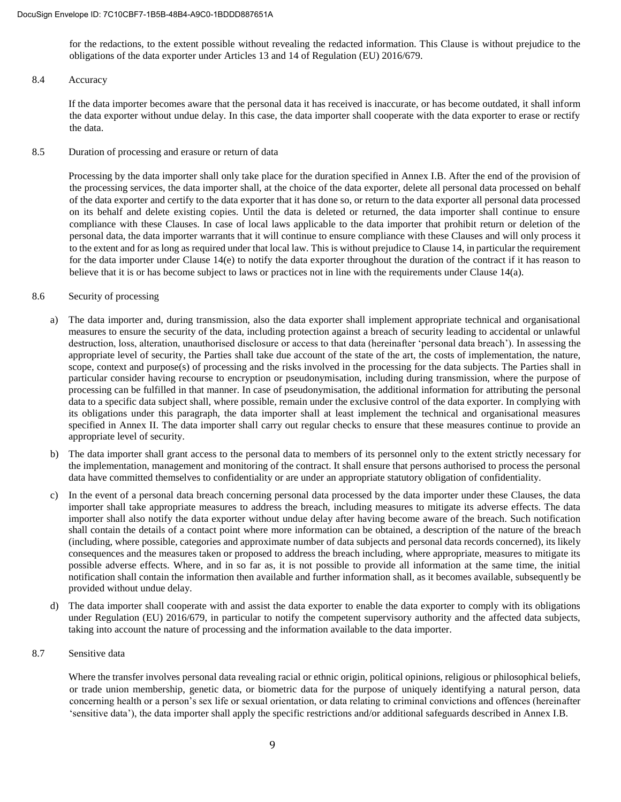for the redactions, to the extent possible without revealing the redacted information. This Clause is without prejudice to the obligations of the data exporter under Articles 13 and 14 of Regulation (EU) 2016/679.

## 8.4 Accuracy

If the data importer becomes aware that the personal data it has received is inaccurate, or has become outdated, it shall inform the data exporter without undue delay. In this case, the data importer shall cooperate with the data exporter to erase or rectify the data.

# 8.5 Duration of processing and erasure or return of data

Processing by the data importer shall only take place for the duration specified in Annex I.B. After the end of the provision of the processing services, the data importer shall, at the choice of the data exporter, delete all personal data processed on behalf of the data exporter and certify to the data exporter that it has done so, or return to the data exporter all personal data processed on its behalf and delete existing copies. Until the data is deleted or returned, the data importer shall continue to ensure compliance with these Clauses. In case of local laws applicable to the data importer that prohibit return or deletion of the personal data, the data importer warrants that it will continue to ensure compliance with these Clauses and will only process it to the extent and for as long as required under that local law. This is without prejudice to Clause 14, in particular the requirement for the data importer under Clause 14(e) to notify the data exporter throughout the duration of the contract if it has reason to believe that it is or has become subject to laws or practices not in line with the requirements under Clause 14(a).

### 8.6 Security of processing

- a) The data importer and, during transmission, also the data exporter shall implement appropriate technical and organisational measures to ensure the security of the data, including protection against a breach of security leading to accidental or unlawful destruction, loss, alteration, unauthorised disclosure or access to that data (hereinafter 'personal data breach'). In assessing the appropriate level of security, the Parties shall take due account of the state of the art, the costs of implementation, the nature, scope, context and purpose(s) of processing and the risks involved in the processing for the data subjects. The Parties shall in particular consider having recourse to encryption or pseudonymisation, including during transmission, where the purpose of processing can be fulfilled in that manner. In case of pseudonymisation, the additional information for attributing the personal data to a specific data subject shall, where possible, remain under the exclusive control of the data exporter. In complying with its obligations under this paragraph, the data importer shall at least implement the technical and organisational measures specified in Annex II. The data importer shall carry out regular checks to ensure that these measures continue to provide an appropriate level of security.
- b) The data importer shall grant access to the personal data to members of its personnel only to the extent strictly necessary for the implementation, management and monitoring of the contract. It shall ensure that persons authorised to process the personal data have committed themselves to confidentiality or are under an appropriate statutory obligation of confidentiality.
- c) In the event of a personal data breach concerning personal data processed by the data importer under these Clauses, the data importer shall take appropriate measures to address the breach, including measures to mitigate its adverse effects. The data importer shall also notify the data exporter without undue delay after having become aware of the breach. Such notification shall contain the details of a contact point where more information can be obtained, a description of the nature of the breach (including, where possible, categories and approximate number of data subjects and personal data records concerned), its likely consequences and the measures taken or proposed to address the breach including, where appropriate, measures to mitigate its possible adverse effects. Where, and in so far as, it is not possible to provide all information at the same time, the initial notification shall contain the information then available and further information shall, as it becomes available, subsequently be provided without undue delay.
- The data importer shall cooperate with and assist the data exporter to enable the data exporter to comply with its obligations under Regulation (EU) 2016/679, in particular to notify the competent supervisory authority and the affected data subjects, taking into account the nature of processing and the information available to the data importer.
- 8.7 Sensitive data

Where the transfer involves personal data revealing racial or ethnic origin, political opinions, religious or philosophical beliefs, or trade union membership, genetic data, or biometric data for the purpose of uniquely identifying a natural person, data concerning health or a person's sex life or sexual orientation, or data relating to criminal convictions and offences (hereinafter 'sensitive data'), the data importer shall apply the specific restrictions and/or additional safeguards described in Annex I.B.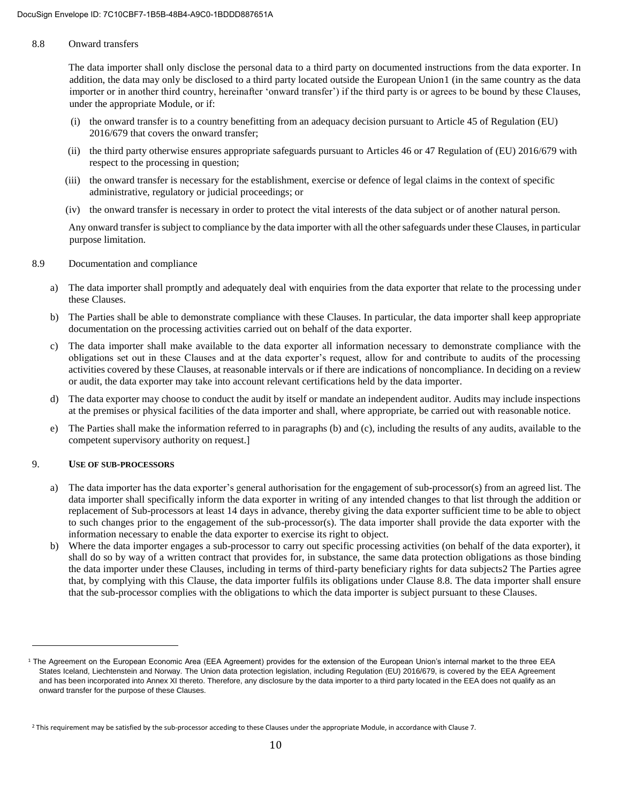#### 8.8 Onward transfers

The data importer shall only disclose the personal data to a third party on documented instructions from the data exporter. In addition, the data may only be disclosed to a third party located outside the European Union1 (in the same country as the data importer or in another third country, hereinafter 'onward transfer') if the third party is or agrees to be bound by these Clauses, under the appropriate Module, or if:

- (i) the onward transfer is to a country benefitting from an adequacy decision pursuant to Article 45 of Regulation (EU) 2016/679 that covers the onward transfer;
- (ii) the third party otherwise ensures appropriate safeguards pursuant to Articles 46 or 47 Regulation of (EU) 2016/679 with respect to the processing in question;
- (iii) the onward transfer is necessary for the establishment, exercise or defence of legal claims in the context of specific administrative, regulatory or judicial proceedings; or
- (iv) the onward transfer is necessary in order to protect the vital interests of the data subject or of another natural person.

Any onward transfer is subject to compliance by the data importer with all the other safeguards under these Clauses, in particular purpose limitation.

#### 8.9 Documentation and compliance

- a) The data importer shall promptly and adequately deal with enquiries from the data exporter that relate to the processing under these Clauses.
- b) The Parties shall be able to demonstrate compliance with these Clauses. In particular, the data importer shall keep appropriate documentation on the processing activities carried out on behalf of the data exporter.
- c) The data importer shall make available to the data exporter all information necessary to demonstrate compliance with the obligations set out in these Clauses and at the data exporter's request, allow for and contribute to audits of the processing activities covered by these Clauses, at reasonable intervals or if there are indications of noncompliance. In deciding on a review or audit, the data exporter may take into account relevant certifications held by the data importer.
- d) The data exporter may choose to conduct the audit by itself or mandate an independent auditor. Audits may include inspections at the premises or physical facilities of the data importer and shall, where appropriate, be carried out with reasonable notice.
- e) The Parties shall make the information referred to in paragraphs (b) and (c), including the results of any audits, available to the competent supervisory authority on request.]

### 9. **USE OF SUB-PROCESSORS**

 $\overline{a}$ 

- a) The data importer has the data exporter's general authorisation for the engagement of sub-processor(s) from an agreed list. The data importer shall specifically inform the data exporter in writing of any intended changes to that list through the addition or replacement of Sub-processors at least 14 days in advance, thereby giving the data exporter sufficient time to be able to object to such changes prior to the engagement of the sub-processor(s). The data importer shall provide the data exporter with the information necessary to enable the data exporter to exercise its right to object.
- b) Where the data importer engages a sub-processor to carry out specific processing activities (on behalf of the data exporter), it shall do so by way of a written contract that provides for, in substance, the same data protection obligations as those binding the data importer under these Clauses, including in terms of third-party beneficiary rights for data subjects2 The Parties agree that, by complying with this Clause, the data importer fulfils its obligations under Clause 8.8. The data importer shall ensure that the sub-processor complies with the obligations to which the data importer is subject pursuant to these Clauses.

<sup>&</sup>lt;sup>1</sup> The Agreement on the European Economic Area (EEA Agreement) provides for the extension of the European Union's internal market to the three EEA States Iceland, Liechtenstein and Norway. The Union data protection legislation, including Regulation (EU) 2016/679, is covered by the EEA Agreement and has been incorporated into Annex XI thereto. Therefore, any disclosure by the data importer to a third party located in the EEA does not qualify as an onward transfer for the purpose of these Clauses.

<sup>&</sup>lt;sup>2</sup> This requirement may be satisfied by the sub-processor acceding to these Clauses under the appropriate Module, in accordance with Clause 7.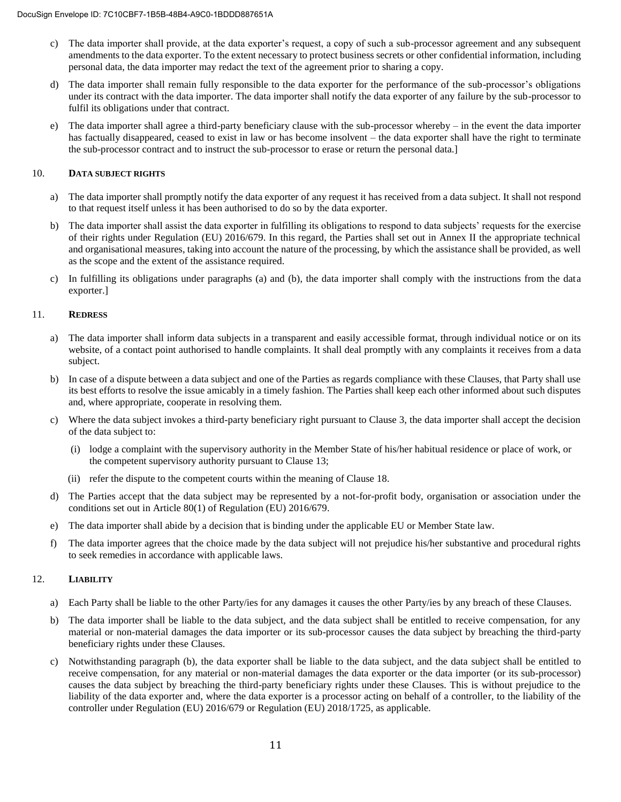- c) The data importer shall provide, at the data exporter's request, a copy of such a sub-processor agreement and any subsequent amendments to the data exporter. To the extent necessary to protect business secrets or other confidential information, including personal data, the data importer may redact the text of the agreement prior to sharing a copy.
- d) The data importer shall remain fully responsible to the data exporter for the performance of the sub-processor's obligations under its contract with the data importer. The data importer shall notify the data exporter of any failure by the sub-processor to fulfil its obligations under that contract.
- e) The data importer shall agree a third-party beneficiary clause with the sub-processor whereby in the event the data importer has factually disappeared, ceased to exist in law or has become insolvent – the data exporter shall have the right to terminate the sub-processor contract and to instruct the sub-processor to erase or return the personal data.]

## 10. **DATA SUBJECT RIGHTS**

- a) The data importer shall promptly notify the data exporter of any request it has received from a data subject. It shall not respond to that request itself unless it has been authorised to do so by the data exporter.
- b) The data importer shall assist the data exporter in fulfilling its obligations to respond to data subjects' requests for the exercise of their rights under Regulation (EU) 2016/679. In this regard, the Parties shall set out in Annex II the appropriate technical and organisational measures, taking into account the nature of the processing, by which the assistance shall be provided, as well as the scope and the extent of the assistance required.
- c) In fulfilling its obligations under paragraphs (a) and (b), the data importer shall comply with the instructions from the data exporter.]

### 11. **REDRESS**

- a) The data importer shall inform data subjects in a transparent and easily accessible format, through individual notice or on its website, of a contact point authorised to handle complaints. It shall deal promptly with any complaints it receives from a data subject.
- b) In case of a dispute between a data subject and one of the Parties as regards compliance with these Clauses, that Party shall use its best efforts to resolve the issue amicably in a timely fashion. The Parties shall keep each other informed about such disputes and, where appropriate, cooperate in resolving them.
- c) Where the data subject invokes a third-party beneficiary right pursuant to Clause 3, the data importer shall accept the decision of the data subject to:
	- (i) lodge a complaint with the supervisory authority in the Member State of his/her habitual residence or place of work, or the competent supervisory authority pursuant to Clause 13;
	- (ii) refer the dispute to the competent courts within the meaning of Clause 18.
- d) The Parties accept that the data subject may be represented by a not-for-profit body, organisation or association under the conditions set out in Article 80(1) of Regulation (EU) 2016/679.
- e) The data importer shall abide by a decision that is binding under the applicable EU or Member State law.
- f) The data importer agrees that the choice made by the data subject will not prejudice his/her substantive and procedural rights to seek remedies in accordance with applicable laws.

# 12. **LIABILITY**

- a) Each Party shall be liable to the other Party/ies for any damages it causes the other Party/ies by any breach of these Clauses.
- b) The data importer shall be liable to the data subject, and the data subject shall be entitled to receive compensation, for any material or non-material damages the data importer or its sub-processor causes the data subject by breaching the third-party beneficiary rights under these Clauses.
- c) Notwithstanding paragraph (b), the data exporter shall be liable to the data subject, and the data subject shall be entitled to receive compensation, for any material or non-material damages the data exporter or the data importer (or its sub-processor) causes the data subject by breaching the third-party beneficiary rights under these Clauses. This is without prejudice to the liability of the data exporter and, where the data exporter is a processor acting on behalf of a controller, to the liability of the controller under Regulation (EU) 2016/679 or Regulation (EU) 2018/1725, as applicable.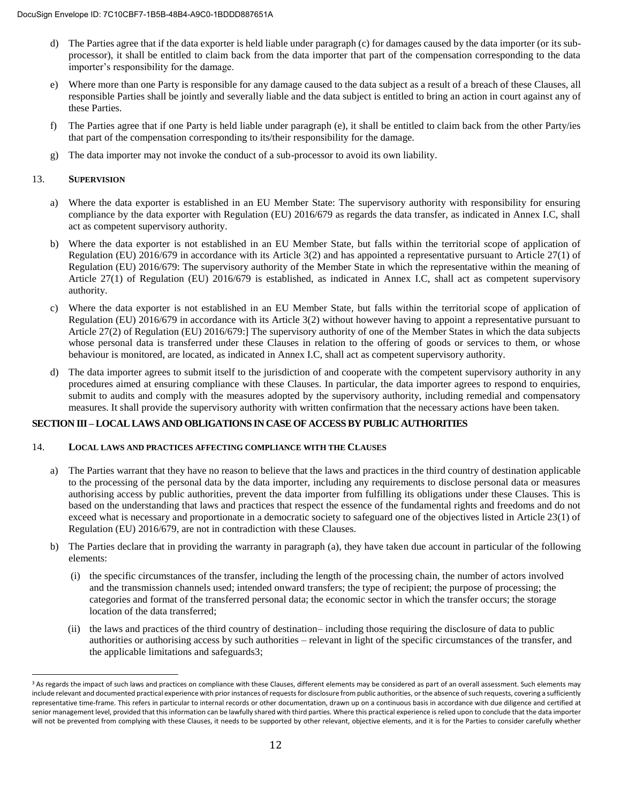- d) The Parties agree that if the data exporter is held liable under paragraph (c) for damages caused by the data importer (or its subprocessor), it shall be entitled to claim back from the data importer that part of the compensation corresponding to the data importer's responsibility for the damage.
- e) Where more than one Party is responsible for any damage caused to the data subject as a result of a breach of these Clauses, all responsible Parties shall be jointly and severally liable and the data subject is entitled to bring an action in court against any of these Parties.
- f) The Parties agree that if one Party is held liable under paragraph (e), it shall be entitled to claim back from the other Party/ies that part of the compensation corresponding to its/their responsibility for the damage.
- g) The data importer may not invoke the conduct of a sub-processor to avoid its own liability.

## 13. **SUPERVISION**

 $\overline{a}$ 

- a) Where the data exporter is established in an EU Member State: The supervisory authority with responsibility for ensuring compliance by the data exporter with Regulation (EU) 2016/679 as regards the data transfer, as indicated in Annex I.C, shall act as competent supervisory authority.
- b) Where the data exporter is not established in an EU Member State, but falls within the territorial scope of application of Regulation (EU) 2016/679 in accordance with its Article 3(2) and has appointed a representative pursuant to Article 27(1) of Regulation (EU) 2016/679: The supervisory authority of the Member State in which the representative within the meaning of Article 27(1) of Regulation (EU) 2016/679 is established, as indicated in Annex I.C, shall act as competent supervisory authority.
- c) Where the data exporter is not established in an EU Member State, but falls within the territorial scope of application of Regulation (EU) 2016/679 in accordance with its Article 3(2) without however having to appoint a representative pursuant to Article 27(2) of Regulation (EU) 2016/679:] The supervisory authority of one of the Member States in which the data subjects whose personal data is transferred under these Clauses in relation to the offering of goods or services to them, or whose behaviour is monitored, are located, as indicated in Annex I.C, shall act as competent supervisory authority.
- d) The data importer agrees to submit itself to the jurisdiction of and cooperate with the competent supervisory authority in any procedures aimed at ensuring compliance with these Clauses. In particular, the data importer agrees to respond to enquiries, submit to audits and comply with the measures adopted by the supervisory authority, including remedial and compensatory measures. It shall provide the supervisory authority with written confirmation that the necessary actions have been taken.

# **SECTION III – LOCAL LAWS AND OBLIGATIONS IN CASE OF ACCESS BY PUBLIC AUTHORITIES**

#### 14. **LOCAL LAWS AND PRACTICES AFFECTING COMPLIANCE WITH THE CLAUSES**

- a) The Parties warrant that they have no reason to believe that the laws and practices in the third country of destination applicable to the processing of the personal data by the data importer, including any requirements to disclose personal data or measures authorising access by public authorities, prevent the data importer from fulfilling its obligations under these Clauses. This is based on the understanding that laws and practices that respect the essence of the fundamental rights and freedoms and do not exceed what is necessary and proportionate in a democratic society to safeguard one of the objectives listed in Article 23(1) of Regulation (EU) 2016/679, are not in contradiction with these Clauses.
- b) The Parties declare that in providing the warranty in paragraph (a), they have taken due account in particular of the following elements:
	- (i) the specific circumstances of the transfer, including the length of the processing chain, the number of actors involved and the transmission channels used; intended onward transfers; the type of recipient; the purpose of processing; the categories and format of the transferred personal data; the economic sector in which the transfer occurs; the storage location of the data transferred;
	- (ii) the laws and practices of the third country of destination– including those requiring the disclosure of data to public authorities or authorising access by such authorities – relevant in light of the specific circumstances of the transfer, and the applicable limitations and safeguards3;

<sup>&</sup>lt;sup>3</sup> As regards the impact of such laws and practices on compliance with these Clauses, different elements may be considered as part of an overall assessment. Such elements may include relevant and documented practical experience with prior instances of requests for disclosure from public authorities, or the absence of such requests, covering a sufficiently representative time-frame. This refers in particular to internal records or other documentation, drawn up on a continuous basis in accordance with due diligence and certified at senior management level, provided that this information can be lawfully shared with third parties. Where this practical experience is relied upon to conclude that the data importer will not be prevented from complying with these Clauses, it needs to be supported by other relevant, objective elements, and it is for the Parties to consider carefully whether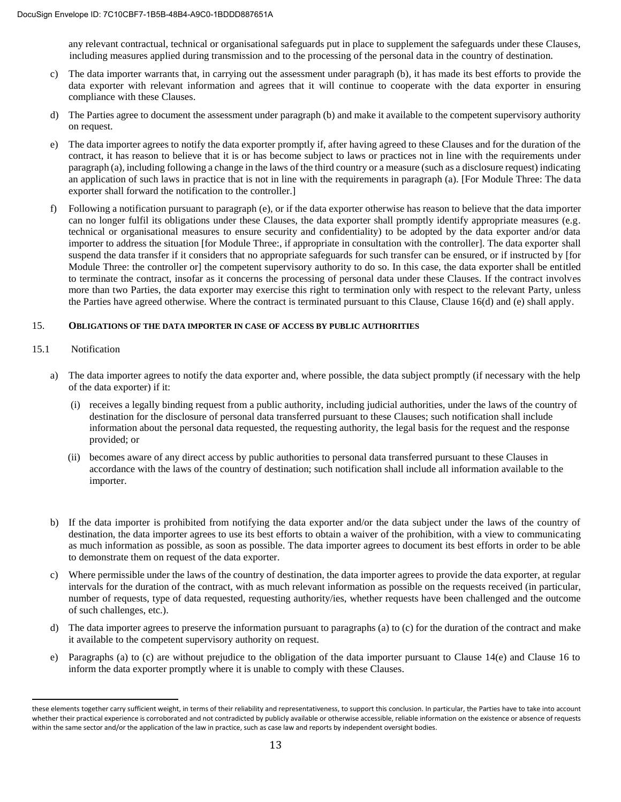any relevant contractual, technical or organisational safeguards put in place to supplement the safeguards under these Clauses, including measures applied during transmission and to the processing of the personal data in the country of destination.

- c) The data importer warrants that, in carrying out the assessment under paragraph (b), it has made its best efforts to provide the data exporter with relevant information and agrees that it will continue to cooperate with the data exporter in ensuring compliance with these Clauses.
- d) The Parties agree to document the assessment under paragraph (b) and make it available to the competent supervisory authority on request.
- e) The data importer agrees to notify the data exporter promptly if, after having agreed to these Clauses and for the duration of the contract, it has reason to believe that it is or has become subject to laws or practices not in line with the requirements under paragraph (a), including following a change in the laws of the third country or a measure (such as a disclosure request) indicating an application of such laws in practice that is not in line with the requirements in paragraph (a). [For Module Three: The data exporter shall forward the notification to the controller.]
- f) Following a notification pursuant to paragraph (e), or if the data exporter otherwise has reason to believe that the data importer can no longer fulfil its obligations under these Clauses, the data exporter shall promptly identify appropriate measures (e.g. technical or organisational measures to ensure security and confidentiality) to be adopted by the data exporter and/or data importer to address the situation [for Module Three:, if appropriate in consultation with the controller]. The data exporter shall suspend the data transfer if it considers that no appropriate safeguards for such transfer can be ensured, or if instructed by [for Module Three: the controller or] the competent supervisory authority to do so. In this case, the data exporter shall be entitled to terminate the contract, insofar as it concerns the processing of personal data under these Clauses. If the contract involves more than two Parties, the data exporter may exercise this right to termination only with respect to the relevant Party, unless the Parties have agreed otherwise. Where the contract is terminated pursuant to this Clause, Clause 16(d) and (e) shall apply.

### 15. **OBLIGATIONS OF THE DATA IMPORTER IN CASE OF ACCESS BY PUBLIC AUTHORITIES**

15.1 Notification

 $\overline{a}$ 

- a) The data importer agrees to notify the data exporter and, where possible, the data subject promptly (if necessary with the help of the data exporter) if it:
	- (i) receives a legally binding request from a public authority, including judicial authorities, under the laws of the country of destination for the disclosure of personal data transferred pursuant to these Clauses; such notification shall include information about the personal data requested, the requesting authority, the legal basis for the request and the response provided; or
	- (ii) becomes aware of any direct access by public authorities to personal data transferred pursuant to these Clauses in accordance with the laws of the country of destination; such notification shall include all information available to the importer.
- b) If the data importer is prohibited from notifying the data exporter and/or the data subject under the laws of the country of destination, the data importer agrees to use its best efforts to obtain a waiver of the prohibition, with a view to communicating as much information as possible, as soon as possible. The data importer agrees to document its best efforts in order to be able to demonstrate them on request of the data exporter.
- c) Where permissible under the laws of the country of destination, the data importer agrees to provide the data exporter, at regular intervals for the duration of the contract, with as much relevant information as possible on the requests received (in particular, number of requests, type of data requested, requesting authority/ies, whether requests have been challenged and the outcome of such challenges, etc.).
- d) The data importer agrees to preserve the information pursuant to paragraphs (a) to (c) for the duration of the contract and make it available to the competent supervisory authority on request.
- e) Paragraphs (a) to (c) are without prejudice to the obligation of the data importer pursuant to Clause 14(e) and Clause 16 to inform the data exporter promptly where it is unable to comply with these Clauses.

these elements together carry sufficient weight, in terms of their reliability and representativeness, to support this conclusion. In particular, the Parties have to take into account whether their practical experience is corroborated and not contradicted by publicly available or otherwise accessible, reliable information on the existence or absence of requests within the same sector and/or the application of the law in practice, such as case law and reports by independent oversight bodies.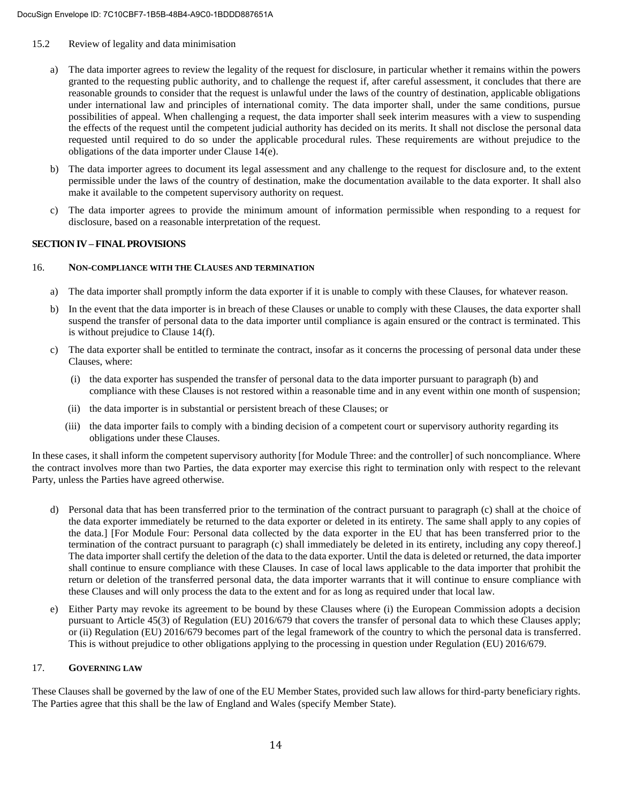- 15.2 Review of legality and data minimisation
	- a) The data importer agrees to review the legality of the request for disclosure, in particular whether it remains within the powers granted to the requesting public authority, and to challenge the request if, after careful assessment, it concludes that there are reasonable grounds to consider that the request is unlawful under the laws of the country of destination, applicable obligations under international law and principles of international comity. The data importer shall, under the same conditions, pursue possibilities of appeal. When challenging a request, the data importer shall seek interim measures with a view to suspending the effects of the request until the competent judicial authority has decided on its merits. It shall not disclose the personal data requested until required to do so under the applicable procedural rules. These requirements are without prejudice to the obligations of the data importer under Clause 14(e).
	- b) The data importer agrees to document its legal assessment and any challenge to the request for disclosure and, to the extent permissible under the laws of the country of destination, make the documentation available to the data exporter. It shall also make it available to the competent supervisory authority on request.
	- c) The data importer agrees to provide the minimum amount of information permissible when responding to a request for disclosure, based on a reasonable interpretation of the request.

### **SECTION IV – FINAL PROVISIONS**

### 16. **NON-COMPLIANCE WITH THE CLAUSES AND TERMINATION**

- a) The data importer shall promptly inform the data exporter if it is unable to comply with these Clauses, for whatever reason.
- b) In the event that the data importer is in breach of these Clauses or unable to comply with these Clauses, the data exporter shall suspend the transfer of personal data to the data importer until compliance is again ensured or the contract is terminated. This is without prejudice to Clause 14(f).
- The data exporter shall be entitled to terminate the contract, insofar as it concerns the processing of personal data under these Clauses, where:
	- (i) the data exporter has suspended the transfer of personal data to the data importer pursuant to paragraph (b) and compliance with these Clauses is not restored within a reasonable time and in any event within one month of suspension;
	- (ii) the data importer is in substantial or persistent breach of these Clauses; or
	- (iii) the data importer fails to comply with a binding decision of a competent court or supervisory authority regarding its obligations under these Clauses.

In these cases, it shall inform the competent supervisory authority [for Module Three: and the controller] of such noncompliance. Where the contract involves more than two Parties, the data exporter may exercise this right to termination only with respect to the relevant Party, unless the Parties have agreed otherwise.

- d) Personal data that has been transferred prior to the termination of the contract pursuant to paragraph (c) shall at the choice of the data exporter immediately be returned to the data exporter or deleted in its entirety. The same shall apply to any copies of the data.] [For Module Four: Personal data collected by the data exporter in the EU that has been transferred prior to the termination of the contract pursuant to paragraph (c) shall immediately be deleted in its entirety, including any copy thereof.] The data importer shall certify the deletion of the data to the data exporter. Until the data is deleted or returned, the data importer shall continue to ensure compliance with these Clauses. In case of local laws applicable to the data importer that prohibit the return or deletion of the transferred personal data, the data importer warrants that it will continue to ensure compliance with these Clauses and will only process the data to the extent and for as long as required under that local law.
- e) Either Party may revoke its agreement to be bound by these Clauses where (i) the European Commission adopts a decision pursuant to Article 45(3) of Regulation (EU) 2016/679 that covers the transfer of personal data to which these Clauses apply; or (ii) Regulation (EU) 2016/679 becomes part of the legal framework of the country to which the personal data is transferred. This is without prejudice to other obligations applying to the processing in question under Regulation (EU) 2016/679.

# 17. **GOVERNING LAW**

These Clauses shall be governed by the law of one of the EU Member States, provided such law allows for third-party beneficiary rights. The Parties agree that this shall be the law of England and Wales (specify Member State).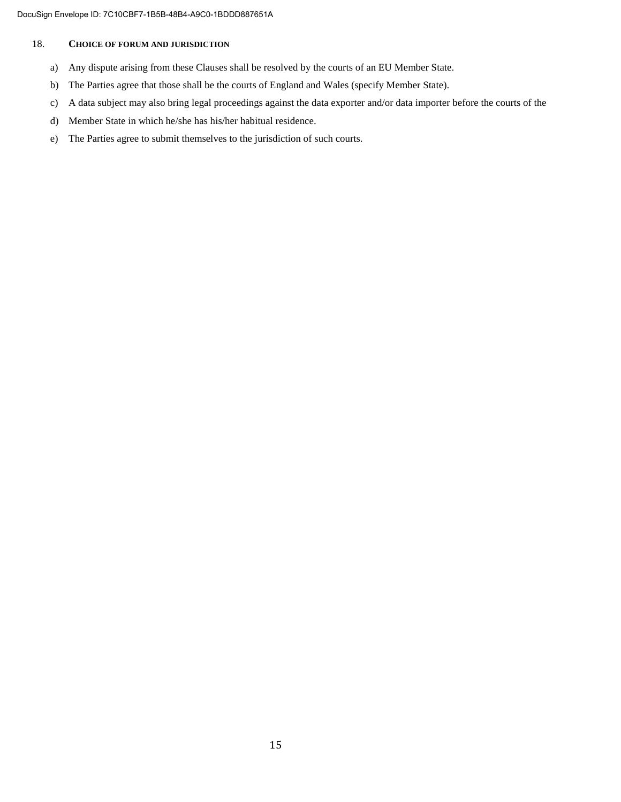DocuSign Envelope ID: 7C10CBF7-1B5B-48B4-A9C0-1BDDD887651A

### 18. **CHOICE OF FORUM AND JURISDICTION**

- a) Any dispute arising from these Clauses shall be resolved by the courts of an EU Member State.
- b) The Parties agree that those shall be the courts of England and Wales (specify Member State).
- c) A data subject may also bring legal proceedings against the data exporter and/or data importer before the courts of the
- d) Member State in which he/she has his/her habitual residence.
- e) The Parties agree to submit themselves to the jurisdiction of such courts.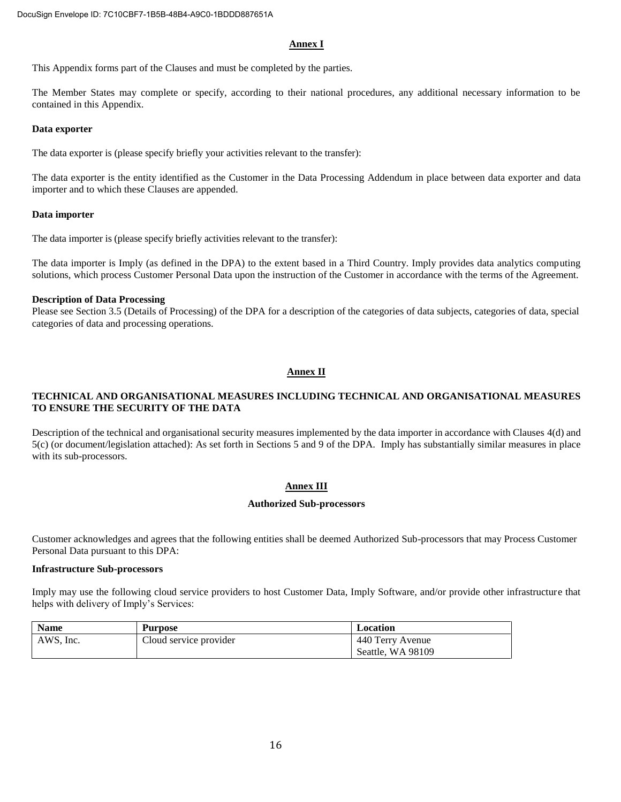### **Annex I**

This Appendix forms part of the Clauses and must be completed by the parties.

The Member States may complete or specify, according to their national procedures, any additional necessary information to be contained in this Appendix.

### **Data exporter**

The data exporter is (please specify briefly your activities relevant to the transfer):

The data exporter is the entity identified as the Customer in the Data Processing Addendum in place between data exporter and data importer and to which these Clauses are appended.

### **Data importer**

The data importer is (please specify briefly activities relevant to the transfer):

The data importer is Imply (as defined in the DPA) to the extent based in a Third Country. Imply provides data analytics computing solutions, which process Customer Personal Data upon the instruction of the Customer in accordance with the terms of the Agreement.

#### **Description of Data Processing**

Please see Section 3.5 (Details of Processing) of the DPA for a description of the categories of data subjects, categories of data, special categories of data and processing operations.

# **Annex II**

# **TECHNICAL AND ORGANISATIONAL MEASURES INCLUDING TECHNICAL AND ORGANISATIONAL MEASURES TO ENSURE THE SECURITY OF THE DATA**

Description of the technical and organisational security measures implemented by the data importer in accordance with Clauses 4(d) and 5(c) (or document/legislation attached): As set forth in Sections 5 and 9 of the DPA. Imply has substantially similar measures in place with its sub-processors.

# **Annex III**

#### **Authorized Sub-processors**

Customer acknowledges and agrees that the following entities shall be deemed Authorized Sub-processors that may Process Customer Personal Data pursuant to this DPA:

#### **Infrastructure Sub-processors**

Imply may use the following cloud service providers to host Customer Data, Imply Software, and/or provide other infrastructure that helps with delivery of Imply's Services:

| <b>Name</b> | <b>Purpose</b>         | Location          |
|-------------|------------------------|-------------------|
| AWS, Inc.   | Cloud service provider | 440 Terry Avenue  |
|             |                        | Seattle, WA 98109 |